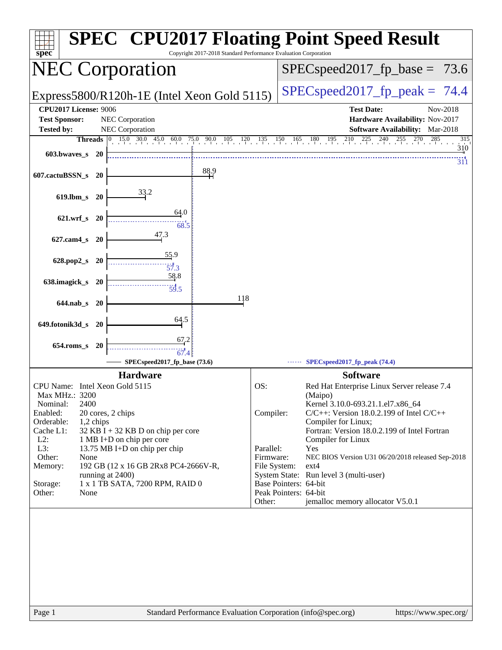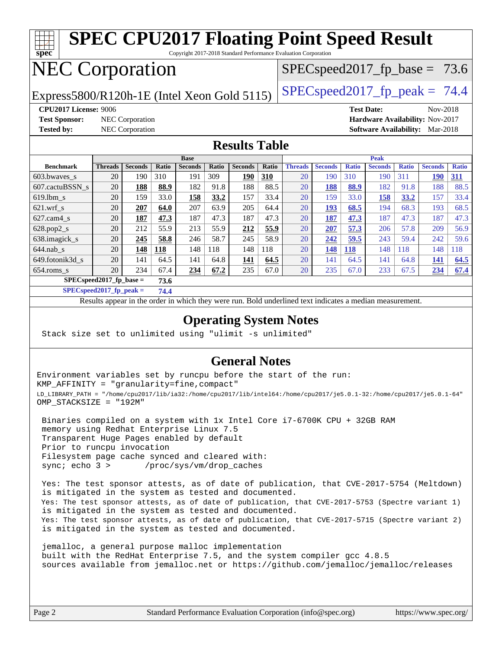| <b>SPEC CPU2017 Floating Point Speed Result</b><br>spec <sup>®</sup><br>Copyright 2017-2018 Standard Performance Evaluation Corporation |                      |                        |                     |                       |                     |                       |              |                      |                       |                     |                               |                     |                                 |                     |
|-----------------------------------------------------------------------------------------------------------------------------------------|----------------------|------------------------|---------------------|-----------------------|---------------------|-----------------------|--------------|----------------------|-----------------------|---------------------|-------------------------------|---------------------|---------------------------------|---------------------|
|                                                                                                                                         |                      |                        |                     |                       |                     |                       |              |                      |                       |                     |                               |                     |                                 |                     |
| <b>NEC Corporation</b><br>$SPEC speed2017_fp\_base = 73.6$                                                                              |                      |                        |                     |                       |                     |                       |              |                      |                       |                     |                               |                     |                                 |                     |
| $SPEC speed2017_fp_peak = 74.4$<br>Express5800/R120h-1E (Intel Xeon Gold 5115)                                                          |                      |                        |                     |                       |                     |                       |              |                      |                       |                     |                               |                     |                                 |                     |
| <b>CPU2017 License: 9006</b><br><b>Test Date:</b><br>Nov-2018                                                                           |                      |                        |                     |                       |                     |                       |              |                      |                       |                     |                               |                     |                                 |                     |
| <b>Test Sponsor:</b>                                                                                                                    |                      | <b>NEC</b> Corporation |                     |                       |                     |                       |              |                      |                       |                     |                               |                     | Hardware Availability: Nov-2017 |                     |
| <b>Tested by:</b>                                                                                                                       |                      | <b>NEC</b> Corporation |                     |                       |                     |                       |              |                      |                       |                     | <b>Software Availability:</b> |                     | Mar-2018                        |                     |
| <b>Results Table</b>                                                                                                                    |                      |                        |                     |                       |                     |                       |              |                      |                       |                     |                               |                     |                                 |                     |
|                                                                                                                                         |                      |                        |                     | <b>Base</b>           |                     |                       |              |                      |                       |                     | Peak                          |                     |                                 |                     |
| <b>Benchmark</b><br>603.bwayes s                                                                                                        | <b>Threads</b><br>20 | <b>Seconds</b><br>190  | <b>Ratio</b><br>310 | <b>Seconds</b><br>191 | <b>Ratio</b><br>309 | <b>Seconds</b><br>190 | Ratio<br>310 | <b>Threads</b><br>20 | <b>Seconds</b><br>190 | <b>Ratio</b><br>310 | <b>Seconds</b><br>190         | <b>Ratio</b><br>311 | <b>Seconds</b><br><b>190</b>    | <b>Ratio</b><br>311 |
| 607.cactuBSSN s                                                                                                                         | 20                   | 188                    | 88.9                | 182                   | 91.8                | 188                   | 88.5         | 20                   | 188                   | 88.9                | 182                           | 91.8                | 188                             | 88.5                |
| $619$ .lbm s                                                                                                                            | 20                   | 159                    | 33.0                | 158                   | 33.2                | 157                   | 33.4         | 20                   | 159                   | 33.0                | 158                           | 33.2                | 157                             | 33.4                |
| $621$ .wrf s                                                                                                                            | 20                   | 207                    | 64.0                | 207                   | 63.9                | 205                   | 64.4         | 20                   | 193                   | 68.5                | 194                           | 68.3                | 193                             | 68.5                |
| $627$ .cam4 s                                                                                                                           | 20                   | 187                    | 47.3                | 187                   | 47.3                | 187                   | 47.3         | 20                   | 187                   | 47.3                | 187                           | 47.3                | 187                             | 47.3                |
| 628.pop2_s                                                                                                                              | 20                   | 212                    | 55.9                | 213                   | 55.9                | 212                   | 55.9         | 20                   | 207                   | 57.3                | 206                           | 57.8                | 209                             | 56.9                |
|                                                                                                                                         |                      | 245                    | 58.8                | 246                   | 58.7                | 245                   | 58.9         | 20                   | 242                   | 59.5                | 243                           | 59.4                | 242                             | 59.6                |
| 638. imagick s                                                                                                                          | 20                   |                        |                     |                       |                     |                       |              |                      |                       |                     |                               |                     |                                 |                     |
| $644$ .nab s                                                                                                                            | 20                   | 148                    | 118                 | 148                   | 118                 | 148                   | 118          | 20                   | 148                   | 118                 | 148                           | 118                 | 148                             | 118                 |
| 649.fotonik3d s                                                                                                                         | 20                   | 141                    | 64.5                | 141                   | 64.8                | 141                   | 64.5         | 20                   | 141                   | 64.5                | 141                           | 64.8                | 141                             | 64.5                |
| 654.roms_s                                                                                                                              | 20                   | 234                    | 67.4                | 234                   | 67.2                | 235                   | 67.0         | 20                   | 235                   | 67.0                | 233                           | 67.5                | 234                             | 67.4                |

**[SPECspeed2017\\_fp\\_peak =](http://www.spec.org/auto/cpu2017/Docs/result-fields.html#SPECspeed2017fppeak) 74.4**

Results appear in the [order in which they were run.](http://www.spec.org/auto/cpu2017/Docs/result-fields.html#RunOrder) Bold underlined text [indicates a median measurement](http://www.spec.org/auto/cpu2017/Docs/result-fields.html#Median).

#### **[Operating System Notes](http://www.spec.org/auto/cpu2017/Docs/result-fields.html#OperatingSystemNotes)**

Stack size set to unlimited using "ulimit -s unlimited"

#### **[General Notes](http://www.spec.org/auto/cpu2017/Docs/result-fields.html#GeneralNotes)**

Environment variables set by runcpu before the start of the run: KMP\_AFFINITY = "granularity=fine,compact" LD\_LIBRARY\_PATH = "/home/cpu2017/lib/ia32:/home/cpu2017/lib/intel64:/home/cpu2017/je5.0.1-32:/home/cpu2017/je5.0.1-64" OMP\_STACKSIZE = "192M"

 Binaries compiled on a system with 1x Intel Core i7-6700K CPU + 32GB RAM memory using Redhat Enterprise Linux 7.5 Transparent Huge Pages enabled by default Prior to runcpu invocation Filesystem page cache synced and cleared with: sync; echo 3 > /proc/sys/vm/drop\_caches

 Yes: The test sponsor attests, as of date of publication, that CVE-2017-5754 (Meltdown) is mitigated in the system as tested and documented. Yes: The test sponsor attests, as of date of publication, that CVE-2017-5753 (Spectre variant 1) is mitigated in the system as tested and documented. Yes: The test sponsor attests, as of date of publication, that CVE-2017-5715 (Spectre variant 2) is mitigated in the system as tested and documented.

 jemalloc, a general purpose malloc implementation built with the RedHat Enterprise 7.5, and the system compiler gcc 4.8.5 sources available from jemalloc.net or <https://github.com/jemalloc/jemalloc/releases>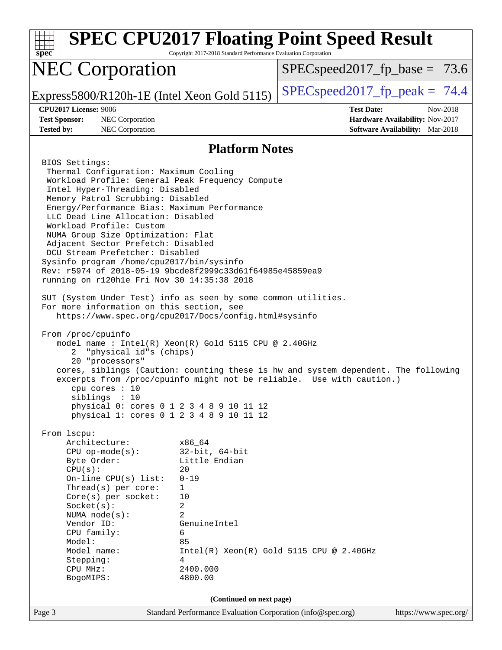| $spec^*$                                                                                                                                                                                                                                                                                                                                                                                                                                                                                                                                                                                                                                                                                                                                                                                                                                                                                                                                                                                                             | Copyright 2017-2018 Standard Performance Evaluation Corporation                                                                               | <b>SPEC CPU2017 Floating Point Speed Result</b>                                                                                                             |                                                                                       |
|----------------------------------------------------------------------------------------------------------------------------------------------------------------------------------------------------------------------------------------------------------------------------------------------------------------------------------------------------------------------------------------------------------------------------------------------------------------------------------------------------------------------------------------------------------------------------------------------------------------------------------------------------------------------------------------------------------------------------------------------------------------------------------------------------------------------------------------------------------------------------------------------------------------------------------------------------------------------------------------------------------------------|-----------------------------------------------------------------------------------------------------------------------------------------------|-------------------------------------------------------------------------------------------------------------------------------------------------------------|---------------------------------------------------------------------------------------|
| <b>NEC Corporation</b>                                                                                                                                                                                                                                                                                                                                                                                                                                                                                                                                                                                                                                                                                                                                                                                                                                                                                                                                                                                               |                                                                                                                                               | $SPEC speed2017_f p\_base = 73.6$                                                                                                                           |                                                                                       |
| Express5800/R120h-1E (Intel Xeon Gold 5115)                                                                                                                                                                                                                                                                                                                                                                                                                                                                                                                                                                                                                                                                                                                                                                                                                                                                                                                                                                          |                                                                                                                                               | $SPEC speed2017fr peak = 74.4$                                                                                                                              |                                                                                       |
| CPU2017 License: 9006<br><b>Test Sponsor:</b><br>NEC Corporation<br><b>Tested by:</b><br>NEC Corporation                                                                                                                                                                                                                                                                                                                                                                                                                                                                                                                                                                                                                                                                                                                                                                                                                                                                                                             |                                                                                                                                               | <b>Test Date:</b>                                                                                                                                           | Nov-2018<br>Hardware Availability: Nov-2017<br><b>Software Availability:</b> Mar-2018 |
|                                                                                                                                                                                                                                                                                                                                                                                                                                                                                                                                                                                                                                                                                                                                                                                                                                                                                                                                                                                                                      | <b>Platform Notes</b>                                                                                                                         |                                                                                                                                                             |                                                                                       |
| BIOS Settings:<br>Thermal Configuration: Maximum Cooling<br>Workload Profile: General Peak Frequency Compute<br>Intel Hyper-Threading: Disabled<br>Memory Patrol Scrubbing: Disabled<br>Energy/Performance Bias: Maximum Performance<br>LLC Dead Line Allocation: Disabled<br>Workload Profile: Custom<br>NUMA Group Size Optimization: Flat<br>Adjacent Sector Prefetch: Disabled<br>DCU Stream Prefetcher: Disabled<br>Sysinfo program /home/cpu2017/bin/sysinfo<br>Rev: r5974 of 2018-05-19 9bcde8f2999c33d61f64985e45859ea9<br>running on r120hle Fri Nov 30 14:35:38 2018<br>SUT (System Under Test) info as seen by some common utilities.<br>For more information on this section, see<br>https://www.spec.org/cpu2017/Docs/config.html#sysinfo<br>From /proc/cpuinfo<br>model name : Intel(R) Xeon(R) Gold 5115 CPU @ 2.40GHz<br>"physical id"s (chips)<br>2<br>20 "processors"<br>cpu cores $: 10$<br>siblings : 10<br>physical 0: cores 0 1 2 3 4 8 9 10 11 12<br>physical 1: cores 0 1 2 3 4 8 9 10 11 12 |                                                                                                                                               | cores, siblings (Caution: counting these is hw and system dependent. The following<br>excerpts from /proc/cpuinfo might not be reliable. Use with caution.) |                                                                                       |
| From 1scpu:<br>Architecture:<br>$CPU$ op-mode( $s$ ):<br>Byte Order:<br>CPU(s):<br>On-line $CPU(s)$ list:<br>Thread(s) per core:<br>Core(s) per socket:<br>Socket(s):<br>NUMA $node(s):$<br>Vendor ID:<br>CPU family:<br>Model:<br>Model name:<br>Stepping:<br>CPU MHz:<br>BogoMIPS:                                                                                                                                                                                                                                                                                                                                                                                                                                                                                                                                                                                                                                                                                                                                 | x86_64<br>$32$ -bit, $64$ -bit<br>Little Endian<br>20<br>$0 - 19$<br>1<br>10<br>2<br>2<br>GenuineIntel<br>6<br>85<br>4<br>2400.000<br>4800.00 | $Intel(R) Xeon(R) Gold 5115 CPU @ 2.40GHz$                                                                                                                  |                                                                                       |
| Page 3                                                                                                                                                                                                                                                                                                                                                                                                                                                                                                                                                                                                                                                                                                                                                                                                                                                                                                                                                                                                               | (Continued on next page)<br>Standard Performance Evaluation Corporation (info@spec.org)                                                       |                                                                                                                                                             | https://www.spec.org/                                                                 |
|                                                                                                                                                                                                                                                                                                                                                                                                                                                                                                                                                                                                                                                                                                                                                                                                                                                                                                                                                                                                                      |                                                                                                                                               |                                                                                                                                                             |                                                                                       |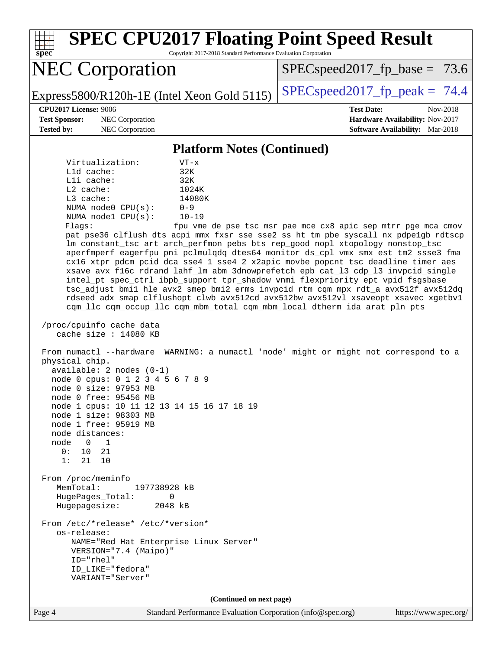| <b>SPEC CPU2017 Floating Point Speed Result</b><br>Copyright 2017-2018 Standard Performance Evaluation Corporation<br>$spec^*$                                                                                                                                                                                                                                                                                                                                                                                                                                                                                                                                                                                                                                                                                                                                                                                                                                                                                                                                                                                                                                                                                                                                                                                                                                                                                                                                                                                                                                                                                                                                                                                                                       |                                                                                                     |
|------------------------------------------------------------------------------------------------------------------------------------------------------------------------------------------------------------------------------------------------------------------------------------------------------------------------------------------------------------------------------------------------------------------------------------------------------------------------------------------------------------------------------------------------------------------------------------------------------------------------------------------------------------------------------------------------------------------------------------------------------------------------------------------------------------------------------------------------------------------------------------------------------------------------------------------------------------------------------------------------------------------------------------------------------------------------------------------------------------------------------------------------------------------------------------------------------------------------------------------------------------------------------------------------------------------------------------------------------------------------------------------------------------------------------------------------------------------------------------------------------------------------------------------------------------------------------------------------------------------------------------------------------------------------------------------------------------------------------------------------------|-----------------------------------------------------------------------------------------------------|
| <b>NEC Corporation</b>                                                                                                                                                                                                                                                                                                                                                                                                                                                                                                                                                                                                                                                                                                                                                                                                                                                                                                                                                                                                                                                                                                                                                                                                                                                                                                                                                                                                                                                                                                                                                                                                                                                                                                                               | $SPEC speed2017_fp\_base = 73.6$                                                                    |
| Express5800/R120h-1E (Intel Xeon Gold 5115)                                                                                                                                                                                                                                                                                                                                                                                                                                                                                                                                                                                                                                                                                                                                                                                                                                                                                                                                                                                                                                                                                                                                                                                                                                                                                                                                                                                                                                                                                                                                                                                                                                                                                                          | $SPEC speed2017fp peak = 74.4$                                                                      |
| <b>CPU2017 License: 9006</b><br><b>Test Sponsor:</b><br>NEC Corporation<br>NEC Corporation<br><b>Tested by:</b>                                                                                                                                                                                                                                                                                                                                                                                                                                                                                                                                                                                                                                                                                                                                                                                                                                                                                                                                                                                                                                                                                                                                                                                                                                                                                                                                                                                                                                                                                                                                                                                                                                      | <b>Test Date:</b><br>Nov-2018<br>Hardware Availability: Nov-2017<br>Software Availability: Mar-2018 |
| <b>Platform Notes (Continued)</b>                                                                                                                                                                                                                                                                                                                                                                                                                                                                                                                                                                                                                                                                                                                                                                                                                                                                                                                                                                                                                                                                                                                                                                                                                                                                                                                                                                                                                                                                                                                                                                                                                                                                                                                    |                                                                                                     |
| Virtualization:<br>$VT - x$<br>Lld cache:<br>32K<br>Lli cache:<br>32K<br>L2 cache:<br>1024K<br>L3 cache:<br>14080K<br>NUMA node0 CPU(s):<br>$0 - 9$<br>NUMA nodel CPU(s):<br>$10 - 19$<br>Flags:<br>pat pse36 clflush dts acpi mmx fxsr sse sse2 ss ht tm pbe syscall nx pdpelgb rdtscp<br>lm constant_tsc art arch_perfmon pebs bts rep_good nopl xtopology nonstop_tsc<br>aperfmperf eagerfpu pni pclmulqdq dtes64 monitor ds_cpl vmx smx est tm2 ssse3 fma<br>cx16 xtpr pdcm pcid dca sse4_1 sse4_2 x2apic movbe popcnt tsc_deadline_timer aes<br>xsave avx f16c rdrand lahf_lm abm 3dnowprefetch epb cat_13 cdp_13 invpcid_single<br>intel_pt spec_ctrl ibpb_support tpr_shadow vnmi flexpriority ept vpid fsgsbase<br>tsc_adjust bmil hle avx2 smep bmi2 erms invpcid rtm cqm mpx rdt_a avx512f avx512dq<br>rdseed adx smap clflushopt clwb avx512cd avx512bw avx512vl xsaveopt xsavec xgetbvl<br>cqm_llc cqm_occup_llc cqm_mbm_total cqm_mbm_local dtherm ida arat pln pts<br>/proc/cpuinfo cache data<br>cache size : $14080$ KB<br>From numactl --hardware WARNING: a numactl 'node' might or might not correspond to a<br>physical chip.<br>available: 2 nodes (0-1)<br>node 0 cpus: 0 1 2 3 4 5 6 7 8 9<br>node 0 size: 97953 MB<br>node 0 free: 95456 MB<br>node 1 cpus: 10 11 12 13 14 15 16 17 18 19<br>node 1 size: 98303 MB<br>node 1 free: 95919 MB<br>node distances:<br>node<br>$\Omega$<br>$\mathbf{1}$<br>0 :<br>21<br>10<br>1:<br>21<br>10<br>From /proc/meminfo<br>MemTotal:<br>197738928 kB<br>HugePages_Total:<br>0<br>Hugepagesize:<br>2048 kB<br>From /etc/*release* /etc/*version*<br>os-release:<br>NAME="Red Hat Enterprise Linux Server"<br>VERSION="7.4 (Maipo)"<br>ID="rhel"<br>ID_LIKE="fedora"<br>VARIANT="Server" | fpu vme de pse tsc msr pae mce cx8 apic sep mtrr pge mca cmov                                       |
| (Continued on next page)<br>Page 4<br>Standard Performance Evaluation Corporation (info@spec.org)                                                                                                                                                                                                                                                                                                                                                                                                                                                                                                                                                                                                                                                                                                                                                                                                                                                                                                                                                                                                                                                                                                                                                                                                                                                                                                                                                                                                                                                                                                                                                                                                                                                    | https://www.spec.org/                                                                               |
|                                                                                                                                                                                                                                                                                                                                                                                                                                                                                                                                                                                                                                                                                                                                                                                                                                                                                                                                                                                                                                                                                                                                                                                                                                                                                                                                                                                                                                                                                                                                                                                                                                                                                                                                                      |                                                                                                     |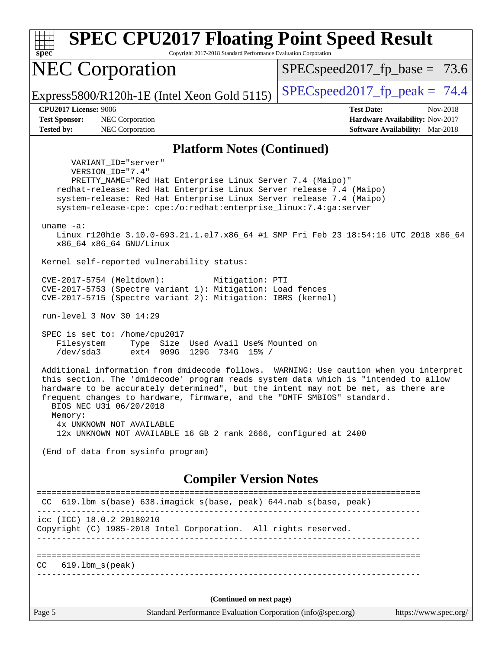| <b>SPEC CPU2017 Floating Point Speed Result</b><br>Copyright 2017-2018 Standard Performance Evaluation Corporation<br>spec <sup>®</sup>                                                                                                                                                                                                                                                                                                                                             |                                                                                                     |
|-------------------------------------------------------------------------------------------------------------------------------------------------------------------------------------------------------------------------------------------------------------------------------------------------------------------------------------------------------------------------------------------------------------------------------------------------------------------------------------|-----------------------------------------------------------------------------------------------------|
| <b>NEC Corporation</b>                                                                                                                                                                                                                                                                                                                                                                                                                                                              | $SPEC speed2017_f p\_base = 73.6$                                                                   |
| Express5800/R120h-1E (Intel Xeon Gold 5115)                                                                                                                                                                                                                                                                                                                                                                                                                                         | $SPEC speed2017$ _fp_peak = 74.4                                                                    |
| <b>CPU2017 License: 9006</b><br><b>Test Sponsor:</b><br>NEC Corporation<br><b>Tested by:</b><br>NEC Corporation                                                                                                                                                                                                                                                                                                                                                                     | <b>Test Date:</b><br>Nov-2018<br>Hardware Availability: Nov-2017<br>Software Availability: Mar-2018 |
| <b>Platform Notes (Continued)</b>                                                                                                                                                                                                                                                                                                                                                                                                                                                   |                                                                                                     |
| VARIANT ID="server"<br>VERSION_ID="7.4"<br>PRETTY_NAME="Red Hat Enterprise Linux Server 7.4 (Maipo)"<br>redhat-release: Red Hat Enterprise Linux Server release 7.4 (Maipo)<br>system-release: Red Hat Enterprise Linux Server release 7.4 (Maipo)<br>system-release-cpe: cpe:/o:redhat:enterprise_linux:7.4:ga:server<br>uname $-a$ :<br>Linux r120hle 3.10.0-693.21.1.el7.x86_64 #1 SMP Fri Feb 23 18:54:16 UTC 2018 x86_64                                                       |                                                                                                     |
| x86_64 x86_64 GNU/Linux                                                                                                                                                                                                                                                                                                                                                                                                                                                             |                                                                                                     |
| Kernel self-reported vulnerability status:<br>CVE-2017-5754 (Meltdown):<br>Mitigation: PTI<br>CVE-2017-5753 (Spectre variant 1): Mitigation: Load fences<br>CVE-2017-5715 (Spectre variant 2): Mitigation: IBRS (kernel)                                                                                                                                                                                                                                                            |                                                                                                     |
| run-level 3 Nov 30 14:29                                                                                                                                                                                                                                                                                                                                                                                                                                                            |                                                                                                     |
| SPEC is set to: /home/cpu2017<br>Filesystem<br>Type Size Used Avail Use% Mounted on<br>/dev/sda3<br>ext4 909G 129G 734G 15% /                                                                                                                                                                                                                                                                                                                                                       |                                                                                                     |
| Additional information from dmidecode follows. WARNING: Use caution when you interpret<br>this section. The 'dmidecode' program reads system data which is "intended to allow<br>hardware to be accurately determined", but the intent may not be met, as there are<br>frequent changes to hardware, firmware, and the "DMTF SMBIOS" standard.<br>BIOS NEC U31 06/20/2018<br>Memory:<br>4x UNKNOWN NOT AVAILABLE<br>12x UNKNOWN NOT AVAILABLE 16 GB 2 rank 2666, configured at 2400 |                                                                                                     |
| (End of data from sysinfo program)                                                                                                                                                                                                                                                                                                                                                                                                                                                  |                                                                                                     |
| <b>Compiler Version Notes</b>                                                                                                                                                                                                                                                                                                                                                                                                                                                       |                                                                                                     |
| CC 619.1bm_s(base) 638.imagick_s(base, peak) 644.nab_s(base, peak)                                                                                                                                                                                                                                                                                                                                                                                                                  | :===============================                                                                    |
| icc (ICC) 18.0.2 20180210<br>Copyright (C) 1985-2018 Intel Corporation. All rights reserved.                                                                                                                                                                                                                                                                                                                                                                                        |                                                                                                     |
| $619.1$ bm_s(peak)<br>CC.                                                                                                                                                                                                                                                                                                                                                                                                                                                           |                                                                                                     |
| (Continued on next page)                                                                                                                                                                                                                                                                                                                                                                                                                                                            |                                                                                                     |
| Page 5<br>Standard Performance Evaluation Corporation (info@spec.org)                                                                                                                                                                                                                                                                                                                                                                                                               | https://www.spec.org/                                                                               |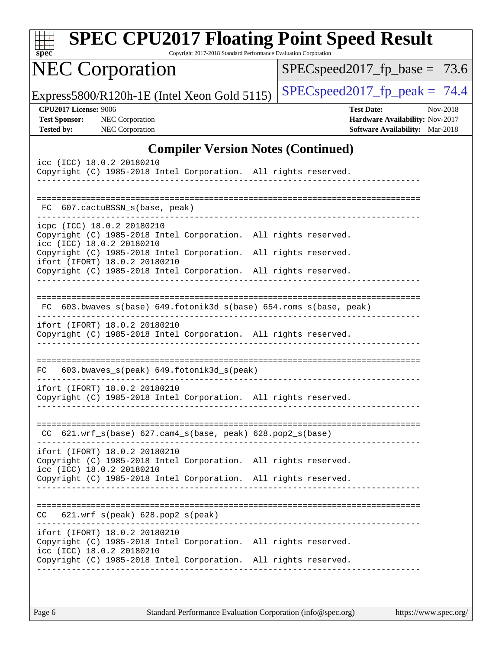| $spec^*$          |                                                      | <b>SPEC CPU2017 Floating Point Speed Result</b>                                                                                                                     | Copyright 2017-2018 Standard Performance Evaluation Corporation |  |                                   |                   |                                                                    |          |
|-------------------|------------------------------------------------------|---------------------------------------------------------------------------------------------------------------------------------------------------------------------|-----------------------------------------------------------------|--|-----------------------------------|-------------------|--------------------------------------------------------------------|----------|
|                   |                                                      | <b>NEC Corporation</b>                                                                                                                                              |                                                                 |  | $SPEC speed2017_f p\_base = 73.6$ |                   |                                                                    |          |
|                   |                                                      | Express5800/R120h-1E (Intel Xeon Gold 5115)                                                                                                                         |                                                                 |  | $SPEC speed2017fp peak = 74.4$    |                   |                                                                    |          |
| <b>Tested by:</b> | <b>CPU2017 License: 9006</b><br><b>Test Sponsor:</b> | <b>NEC</b> Corporation<br>NEC Corporation                                                                                                                           |                                                                 |  |                                   | <b>Test Date:</b> | Hardware Availability: Nov-2017<br>Software Availability: Mar-2018 | Nov-2018 |
|                   |                                                      |                                                                                                                                                                     | <b>Compiler Version Notes (Continued)</b>                       |  |                                   |                   |                                                                    |          |
|                   |                                                      | icc (ICC) 18.0.2 20180210<br>Copyright (C) 1985-2018 Intel Corporation. All rights reserved.                                                                        |                                                                 |  |                                   |                   |                                                                    |          |
|                   |                                                      | FC 607.cactuBSSN_s(base, peak)                                                                                                                                      |                                                                 |  |                                   |                   |                                                                    |          |
|                   |                                                      | icpc (ICC) 18.0.2 20180210<br>Copyright (C) 1985-2018 Intel Corporation. All rights reserved.<br>icc (ICC) 18.0.2 20180210                                          |                                                                 |  |                                   |                   |                                                                    |          |
|                   |                                                      | Copyright (C) 1985-2018 Intel Corporation. All rights reserved.<br>ifort (IFORT) 18.0.2 20180210<br>Copyright (C) 1985-2018 Intel Corporation. All rights reserved. |                                                                 |  |                                   |                   |                                                                    |          |
|                   |                                                      |                                                                                                                                                                     |                                                                 |  |                                   |                   |                                                                    |          |
| FC.               |                                                      | 603.bwaves_s(base) 649.fotonik3d_s(base) 654.roms_s(base, peak)                                                                                                     |                                                                 |  |                                   |                   |                                                                    |          |
|                   |                                                      | ifort (IFORT) 18.0.2 20180210<br>Copyright (C) 1985-2018 Intel Corporation. All rights reserved.                                                                    |                                                                 |  |                                   |                   |                                                                    |          |
| FC.               |                                                      | 603.bwaves_s(peak) 649.fotonik3d_s(peak)                                                                                                                            |                                                                 |  |                                   |                   |                                                                    |          |
|                   |                                                      | ifort (IFORT) 18.0.2 20180210<br>Copyright (C) 1985-2018 Intel Corporation. All rights reserved.                                                                    | _____________________________________                           |  |                                   |                   |                                                                    |          |
|                   |                                                      | CC 621.wrf_s(base) 627.cam4_s(base, peak) 628.pop2_s(base)                                                                                                          |                                                                 |  |                                   |                   |                                                                    |          |
|                   |                                                      | ifort (IFORT) 18.0.2 20180210<br>Copyright (C) 1985-2018 Intel Corporation. All rights reserved.<br>icc (ICC) 18.0.2 20180210                                       |                                                                 |  |                                   |                   |                                                                    |          |
|                   |                                                      | Copyright (C) 1985-2018 Intel Corporation. All rights reserved.                                                                                                     |                                                                 |  |                                   |                   |                                                                    |          |
|                   |                                                      | $CC$ $621.wrf_s(peak)$ $628.pop2_s(peak)$                                                                                                                           |                                                                 |  |                                   |                   |                                                                    |          |
|                   |                                                      | ifort (IFORT) 18.0.2 20180210<br>Copyright (C) 1985-2018 Intel Corporation. All rights reserved.<br>icc (ICC) 18.0.2 20180210                                       |                                                                 |  |                                   |                   |                                                                    |          |
|                   |                                                      | Copyright (C) 1985-2018 Intel Corporation. All rights reserved.                                                                                                     |                                                                 |  |                                   |                   |                                                                    |          |
|                   |                                                      |                                                                                                                                                                     |                                                                 |  |                                   |                   |                                                                    |          |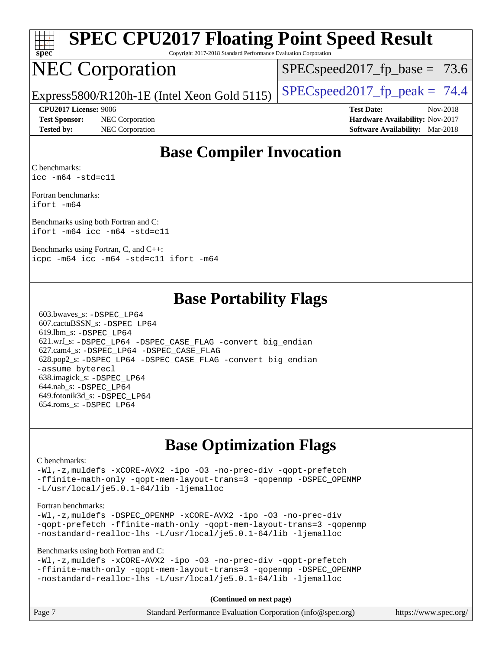|  | spe | Ľ<br>۹ |  |
|--|-----|--------|--|

# **[SPEC CPU2017 Floating Point Speed Result](http://www.spec.org/auto/cpu2017/Docs/result-fields.html#SPECCPU2017FloatingPointSpeedResult)**

Copyright 2017-2018 Standard Performance Evaluation Corporation

# NEC Corporation

 $SPECspeed2017_fp\_base = 73.6$ 

Express5800/R120h-1E (Intel Xeon Gold 5115)  $\left|$  [SPECspeed2017\\_fp\\_peak =](http://www.spec.org/auto/cpu2017/Docs/result-fields.html#SPECspeed2017fppeak) 74.4

**[Test Sponsor:](http://www.spec.org/auto/cpu2017/Docs/result-fields.html#TestSponsor)** NEC Corporation **[Hardware Availability:](http://www.spec.org/auto/cpu2017/Docs/result-fields.html#HardwareAvailability)** Nov-2017

**[CPU2017 License:](http://www.spec.org/auto/cpu2017/Docs/result-fields.html#CPU2017License)** 9006 **[Test Date:](http://www.spec.org/auto/cpu2017/Docs/result-fields.html#TestDate)** Nov-2018 **[Tested by:](http://www.spec.org/auto/cpu2017/Docs/result-fields.html#Testedby)** NEC Corporation **[Software Availability:](http://www.spec.org/auto/cpu2017/Docs/result-fields.html#SoftwareAvailability)** Mar-2018

## **[Base Compiler Invocation](http://www.spec.org/auto/cpu2017/Docs/result-fields.html#BaseCompilerInvocation)**

[C benchmarks](http://www.spec.org/auto/cpu2017/Docs/result-fields.html#Cbenchmarks): [icc -m64 -std=c11](http://www.spec.org/cpu2017/results/res2018q4/cpu2017-20181210-10048.flags.html#user_CCbase_intel_icc_64bit_c11_33ee0cdaae7deeeab2a9725423ba97205ce30f63b9926c2519791662299b76a0318f32ddfffdc46587804de3178b4f9328c46fa7c2b0cd779d7a61945c91cd35)

[Fortran benchmarks:](http://www.spec.org/auto/cpu2017/Docs/result-fields.html#Fortranbenchmarks) [ifort -m64](http://www.spec.org/cpu2017/results/res2018q4/cpu2017-20181210-10048.flags.html#user_FCbase_intel_ifort_64bit_24f2bb282fbaeffd6157abe4f878425411749daecae9a33200eee2bee2fe76f3b89351d69a8130dd5949958ce389cf37ff59a95e7a40d588e8d3a57e0c3fd751)

[Benchmarks using both Fortran and C](http://www.spec.org/auto/cpu2017/Docs/result-fields.html#BenchmarksusingbothFortranandC): [ifort -m64](http://www.spec.org/cpu2017/results/res2018q4/cpu2017-20181210-10048.flags.html#user_CC_FCbase_intel_ifort_64bit_24f2bb282fbaeffd6157abe4f878425411749daecae9a33200eee2bee2fe76f3b89351d69a8130dd5949958ce389cf37ff59a95e7a40d588e8d3a57e0c3fd751) [icc -m64 -std=c11](http://www.spec.org/cpu2017/results/res2018q4/cpu2017-20181210-10048.flags.html#user_CC_FCbase_intel_icc_64bit_c11_33ee0cdaae7deeeab2a9725423ba97205ce30f63b9926c2519791662299b76a0318f32ddfffdc46587804de3178b4f9328c46fa7c2b0cd779d7a61945c91cd35)

[Benchmarks using Fortran, C, and C++](http://www.spec.org/auto/cpu2017/Docs/result-fields.html#BenchmarksusingFortranCandCXX): [icpc -m64](http://www.spec.org/cpu2017/results/res2018q4/cpu2017-20181210-10048.flags.html#user_CC_CXX_FCbase_intel_icpc_64bit_4ecb2543ae3f1412ef961e0650ca070fec7b7afdcd6ed48761b84423119d1bf6bdf5cad15b44d48e7256388bc77273b966e5eb805aefd121eb22e9299b2ec9d9) [icc -m64 -std=c11](http://www.spec.org/cpu2017/results/res2018q4/cpu2017-20181210-10048.flags.html#user_CC_CXX_FCbase_intel_icc_64bit_c11_33ee0cdaae7deeeab2a9725423ba97205ce30f63b9926c2519791662299b76a0318f32ddfffdc46587804de3178b4f9328c46fa7c2b0cd779d7a61945c91cd35) [ifort -m64](http://www.spec.org/cpu2017/results/res2018q4/cpu2017-20181210-10048.flags.html#user_CC_CXX_FCbase_intel_ifort_64bit_24f2bb282fbaeffd6157abe4f878425411749daecae9a33200eee2bee2fe76f3b89351d69a8130dd5949958ce389cf37ff59a95e7a40d588e8d3a57e0c3fd751)

### **[Base Portability Flags](http://www.spec.org/auto/cpu2017/Docs/result-fields.html#BasePortabilityFlags)**

 603.bwaves\_s: [-DSPEC\\_LP64](http://www.spec.org/cpu2017/results/res2018q4/cpu2017-20181210-10048.flags.html#suite_basePORTABILITY603_bwaves_s_DSPEC_LP64) 607.cactuBSSN\_s: [-DSPEC\\_LP64](http://www.spec.org/cpu2017/results/res2018q4/cpu2017-20181210-10048.flags.html#suite_basePORTABILITY607_cactuBSSN_s_DSPEC_LP64) 619.lbm\_s: [-DSPEC\\_LP64](http://www.spec.org/cpu2017/results/res2018q4/cpu2017-20181210-10048.flags.html#suite_basePORTABILITY619_lbm_s_DSPEC_LP64) 621.wrf\_s: [-DSPEC\\_LP64](http://www.spec.org/cpu2017/results/res2018q4/cpu2017-20181210-10048.flags.html#suite_basePORTABILITY621_wrf_s_DSPEC_LP64) [-DSPEC\\_CASE\\_FLAG](http://www.spec.org/cpu2017/results/res2018q4/cpu2017-20181210-10048.flags.html#b621.wrf_s_baseCPORTABILITY_DSPEC_CASE_FLAG) [-convert big\\_endian](http://www.spec.org/cpu2017/results/res2018q4/cpu2017-20181210-10048.flags.html#user_baseFPORTABILITY621_wrf_s_convert_big_endian_c3194028bc08c63ac5d04de18c48ce6d347e4e562e8892b8bdbdc0214820426deb8554edfa529a3fb25a586e65a3d812c835984020483e7e73212c4d31a38223) 627.cam4\_s: [-DSPEC\\_LP64](http://www.spec.org/cpu2017/results/res2018q4/cpu2017-20181210-10048.flags.html#suite_basePORTABILITY627_cam4_s_DSPEC_LP64) [-DSPEC\\_CASE\\_FLAG](http://www.spec.org/cpu2017/results/res2018q4/cpu2017-20181210-10048.flags.html#b627.cam4_s_baseCPORTABILITY_DSPEC_CASE_FLAG) 628.pop2\_s: [-DSPEC\\_LP64](http://www.spec.org/cpu2017/results/res2018q4/cpu2017-20181210-10048.flags.html#suite_basePORTABILITY628_pop2_s_DSPEC_LP64) [-DSPEC\\_CASE\\_FLAG](http://www.spec.org/cpu2017/results/res2018q4/cpu2017-20181210-10048.flags.html#b628.pop2_s_baseCPORTABILITY_DSPEC_CASE_FLAG) [-convert big\\_endian](http://www.spec.org/cpu2017/results/res2018q4/cpu2017-20181210-10048.flags.html#user_baseFPORTABILITY628_pop2_s_convert_big_endian_c3194028bc08c63ac5d04de18c48ce6d347e4e562e8892b8bdbdc0214820426deb8554edfa529a3fb25a586e65a3d812c835984020483e7e73212c4d31a38223) [-assume byterecl](http://www.spec.org/cpu2017/results/res2018q4/cpu2017-20181210-10048.flags.html#user_baseFPORTABILITY628_pop2_s_assume_byterecl_7e47d18b9513cf18525430bbf0f2177aa9bf368bc7a059c09b2c06a34b53bd3447c950d3f8d6c70e3faf3a05c8557d66a5798b567902e8849adc142926523472) 638.imagick\_s: [-DSPEC\\_LP64](http://www.spec.org/cpu2017/results/res2018q4/cpu2017-20181210-10048.flags.html#suite_basePORTABILITY638_imagick_s_DSPEC_LP64) 644.nab\_s: [-DSPEC\\_LP64](http://www.spec.org/cpu2017/results/res2018q4/cpu2017-20181210-10048.flags.html#suite_basePORTABILITY644_nab_s_DSPEC_LP64) 649.fotonik3d\_s: [-DSPEC\\_LP64](http://www.spec.org/cpu2017/results/res2018q4/cpu2017-20181210-10048.flags.html#suite_basePORTABILITY649_fotonik3d_s_DSPEC_LP64) 654.roms\_s: [-DSPEC\\_LP64](http://www.spec.org/cpu2017/results/res2018q4/cpu2017-20181210-10048.flags.html#suite_basePORTABILITY654_roms_s_DSPEC_LP64)

# **[Base Optimization Flags](http://www.spec.org/auto/cpu2017/Docs/result-fields.html#BaseOptimizationFlags)**

#### [C benchmarks](http://www.spec.org/auto/cpu2017/Docs/result-fields.html#Cbenchmarks):

[-Wl,-z,muldefs](http://www.spec.org/cpu2017/results/res2018q4/cpu2017-20181210-10048.flags.html#user_CCbase_link_force_multiple1_b4cbdb97b34bdee9ceefcfe54f4c8ea74255f0b02a4b23e853cdb0e18eb4525ac79b5a88067c842dd0ee6996c24547a27a4b99331201badda8798ef8a743f577) [-xCORE-AVX2](http://www.spec.org/cpu2017/results/res2018q4/cpu2017-20181210-10048.flags.html#user_CCbase_f-xCORE-AVX2) [-ipo](http://www.spec.org/cpu2017/results/res2018q4/cpu2017-20181210-10048.flags.html#user_CCbase_f-ipo) [-O3](http://www.spec.org/cpu2017/results/res2018q4/cpu2017-20181210-10048.flags.html#user_CCbase_f-O3) [-no-prec-div](http://www.spec.org/cpu2017/results/res2018q4/cpu2017-20181210-10048.flags.html#user_CCbase_f-no-prec-div) [-qopt-prefetch](http://www.spec.org/cpu2017/results/res2018q4/cpu2017-20181210-10048.flags.html#user_CCbase_f-qopt-prefetch) [-ffinite-math-only](http://www.spec.org/cpu2017/results/res2018q4/cpu2017-20181210-10048.flags.html#user_CCbase_f_finite_math_only_cb91587bd2077682c4b38af759c288ed7c732db004271a9512da14a4f8007909a5f1427ecbf1a0fb78ff2a814402c6114ac565ca162485bbcae155b5e4258871) [-qopt-mem-layout-trans=3](http://www.spec.org/cpu2017/results/res2018q4/cpu2017-20181210-10048.flags.html#user_CCbase_f-qopt-mem-layout-trans_de80db37974c74b1f0e20d883f0b675c88c3b01e9d123adea9b28688d64333345fb62bc4a798493513fdb68f60282f9a726aa07f478b2f7113531aecce732043) [-qopenmp](http://www.spec.org/cpu2017/results/res2018q4/cpu2017-20181210-10048.flags.html#user_CCbase_qopenmp_16be0c44f24f464004c6784a7acb94aca937f053568ce72f94b139a11c7c168634a55f6653758ddd83bcf7b8463e8028bb0b48b77bcddc6b78d5d95bb1df2967) [-DSPEC\\_OPENMP](http://www.spec.org/cpu2017/results/res2018q4/cpu2017-20181210-10048.flags.html#suite_CCbase_DSPEC_OPENMP) [-L/usr/local/je5.0.1-64/lib](http://www.spec.org/cpu2017/results/res2018q4/cpu2017-20181210-10048.flags.html#user_CCbase_jemalloc_link_path64_4b10a636b7bce113509b17f3bd0d6226c5fb2346b9178c2d0232c14f04ab830f976640479e5c33dc2bcbbdad86ecfb6634cbbd4418746f06f368b512fced5394) [-ljemalloc](http://www.spec.org/cpu2017/results/res2018q4/cpu2017-20181210-10048.flags.html#user_CCbase_jemalloc_link_lib_d1249b907c500fa1c0672f44f562e3d0f79738ae9e3c4a9c376d49f265a04b9c99b167ecedbf6711b3085be911c67ff61f150a17b3472be731631ba4d0471706)

#### [Fortran benchmarks](http://www.spec.org/auto/cpu2017/Docs/result-fields.html#Fortranbenchmarks):

[-Wl,-z,muldefs](http://www.spec.org/cpu2017/results/res2018q4/cpu2017-20181210-10048.flags.html#user_FCbase_link_force_multiple1_b4cbdb97b34bdee9ceefcfe54f4c8ea74255f0b02a4b23e853cdb0e18eb4525ac79b5a88067c842dd0ee6996c24547a27a4b99331201badda8798ef8a743f577) [-DSPEC\\_OPENMP](http://www.spec.org/cpu2017/results/res2018q4/cpu2017-20181210-10048.flags.html#suite_FCbase_DSPEC_OPENMP) [-xCORE-AVX2](http://www.spec.org/cpu2017/results/res2018q4/cpu2017-20181210-10048.flags.html#user_FCbase_f-xCORE-AVX2) [-ipo](http://www.spec.org/cpu2017/results/res2018q4/cpu2017-20181210-10048.flags.html#user_FCbase_f-ipo) [-O3](http://www.spec.org/cpu2017/results/res2018q4/cpu2017-20181210-10048.flags.html#user_FCbase_f-O3) [-no-prec-div](http://www.spec.org/cpu2017/results/res2018q4/cpu2017-20181210-10048.flags.html#user_FCbase_f-no-prec-div) [-qopt-prefetch](http://www.spec.org/cpu2017/results/res2018q4/cpu2017-20181210-10048.flags.html#user_FCbase_f-qopt-prefetch) [-ffinite-math-only](http://www.spec.org/cpu2017/results/res2018q4/cpu2017-20181210-10048.flags.html#user_FCbase_f_finite_math_only_cb91587bd2077682c4b38af759c288ed7c732db004271a9512da14a4f8007909a5f1427ecbf1a0fb78ff2a814402c6114ac565ca162485bbcae155b5e4258871) [-qopt-mem-layout-trans=3](http://www.spec.org/cpu2017/results/res2018q4/cpu2017-20181210-10048.flags.html#user_FCbase_f-qopt-mem-layout-trans_de80db37974c74b1f0e20d883f0b675c88c3b01e9d123adea9b28688d64333345fb62bc4a798493513fdb68f60282f9a726aa07f478b2f7113531aecce732043) [-qopenmp](http://www.spec.org/cpu2017/results/res2018q4/cpu2017-20181210-10048.flags.html#user_FCbase_qopenmp_16be0c44f24f464004c6784a7acb94aca937f053568ce72f94b139a11c7c168634a55f6653758ddd83bcf7b8463e8028bb0b48b77bcddc6b78d5d95bb1df2967) [-nostandard-realloc-lhs](http://www.spec.org/cpu2017/results/res2018q4/cpu2017-20181210-10048.flags.html#user_FCbase_f_2003_std_realloc_82b4557e90729c0f113870c07e44d33d6f5a304b4f63d4c15d2d0f1fab99f5daaed73bdb9275d9ae411527f28b936061aa8b9c8f2d63842963b95c9dd6426b8a) [-L/usr/local/je5.0.1-64/lib](http://www.spec.org/cpu2017/results/res2018q4/cpu2017-20181210-10048.flags.html#user_FCbase_jemalloc_link_path64_4b10a636b7bce113509b17f3bd0d6226c5fb2346b9178c2d0232c14f04ab830f976640479e5c33dc2bcbbdad86ecfb6634cbbd4418746f06f368b512fced5394) [-ljemalloc](http://www.spec.org/cpu2017/results/res2018q4/cpu2017-20181210-10048.flags.html#user_FCbase_jemalloc_link_lib_d1249b907c500fa1c0672f44f562e3d0f79738ae9e3c4a9c376d49f265a04b9c99b167ecedbf6711b3085be911c67ff61f150a17b3472be731631ba4d0471706)

[Benchmarks using both Fortran and C](http://www.spec.org/auto/cpu2017/Docs/result-fields.html#BenchmarksusingbothFortranandC):

[-Wl,-z,muldefs](http://www.spec.org/cpu2017/results/res2018q4/cpu2017-20181210-10048.flags.html#user_CC_FCbase_link_force_multiple1_b4cbdb97b34bdee9ceefcfe54f4c8ea74255f0b02a4b23e853cdb0e18eb4525ac79b5a88067c842dd0ee6996c24547a27a4b99331201badda8798ef8a743f577) [-xCORE-AVX2](http://www.spec.org/cpu2017/results/res2018q4/cpu2017-20181210-10048.flags.html#user_CC_FCbase_f-xCORE-AVX2) [-ipo](http://www.spec.org/cpu2017/results/res2018q4/cpu2017-20181210-10048.flags.html#user_CC_FCbase_f-ipo) [-O3](http://www.spec.org/cpu2017/results/res2018q4/cpu2017-20181210-10048.flags.html#user_CC_FCbase_f-O3) [-no-prec-div](http://www.spec.org/cpu2017/results/res2018q4/cpu2017-20181210-10048.flags.html#user_CC_FCbase_f-no-prec-div) [-qopt-prefetch](http://www.spec.org/cpu2017/results/res2018q4/cpu2017-20181210-10048.flags.html#user_CC_FCbase_f-qopt-prefetch) [-ffinite-math-only](http://www.spec.org/cpu2017/results/res2018q4/cpu2017-20181210-10048.flags.html#user_CC_FCbase_f_finite_math_only_cb91587bd2077682c4b38af759c288ed7c732db004271a9512da14a4f8007909a5f1427ecbf1a0fb78ff2a814402c6114ac565ca162485bbcae155b5e4258871) [-qopt-mem-layout-trans=3](http://www.spec.org/cpu2017/results/res2018q4/cpu2017-20181210-10048.flags.html#user_CC_FCbase_f-qopt-mem-layout-trans_de80db37974c74b1f0e20d883f0b675c88c3b01e9d123adea9b28688d64333345fb62bc4a798493513fdb68f60282f9a726aa07f478b2f7113531aecce732043) [-qopenmp](http://www.spec.org/cpu2017/results/res2018q4/cpu2017-20181210-10048.flags.html#user_CC_FCbase_qopenmp_16be0c44f24f464004c6784a7acb94aca937f053568ce72f94b139a11c7c168634a55f6653758ddd83bcf7b8463e8028bb0b48b77bcddc6b78d5d95bb1df2967) [-DSPEC\\_OPENMP](http://www.spec.org/cpu2017/results/res2018q4/cpu2017-20181210-10048.flags.html#suite_CC_FCbase_DSPEC_OPENMP) [-nostandard-realloc-lhs](http://www.spec.org/cpu2017/results/res2018q4/cpu2017-20181210-10048.flags.html#user_CC_FCbase_f_2003_std_realloc_82b4557e90729c0f113870c07e44d33d6f5a304b4f63d4c15d2d0f1fab99f5daaed73bdb9275d9ae411527f28b936061aa8b9c8f2d63842963b95c9dd6426b8a) [-L/usr/local/je5.0.1-64/lib](http://www.spec.org/cpu2017/results/res2018q4/cpu2017-20181210-10048.flags.html#user_CC_FCbase_jemalloc_link_path64_4b10a636b7bce113509b17f3bd0d6226c5fb2346b9178c2d0232c14f04ab830f976640479e5c33dc2bcbbdad86ecfb6634cbbd4418746f06f368b512fced5394) [-ljemalloc](http://www.spec.org/cpu2017/results/res2018q4/cpu2017-20181210-10048.flags.html#user_CC_FCbase_jemalloc_link_lib_d1249b907c500fa1c0672f44f562e3d0f79738ae9e3c4a9c376d49f265a04b9c99b167ecedbf6711b3085be911c67ff61f150a17b3472be731631ba4d0471706)

**(Continued on next page)**

| Page 7 | Standard Performance Evaluation Corporation (info@spec.org) | https://www.spec.org/ |
|--------|-------------------------------------------------------------|-----------------------|
|--------|-------------------------------------------------------------|-----------------------|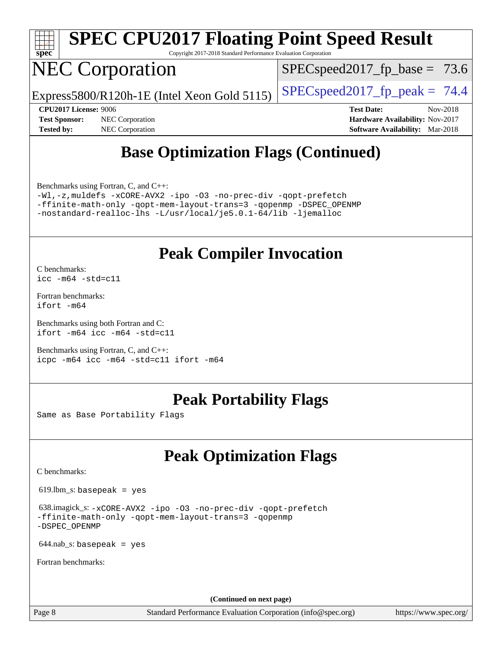

# **[SPEC CPU2017 Floating Point Speed Result](http://www.spec.org/auto/cpu2017/Docs/result-fields.html#SPECCPU2017FloatingPointSpeedResult)**

Copyright 2017-2018 Standard Performance Evaluation Corporation

# NEC Corporation

 $SPECspeed2017_fp\_base = 73.6$ 

Express5800/R120h-1E (Intel Xeon Gold 5115)  $\left|$  [SPECspeed2017\\_fp\\_peak =](http://www.spec.org/auto/cpu2017/Docs/result-fields.html#SPECspeed2017fppeak) 74.4

**[Tested by:](http://www.spec.org/auto/cpu2017/Docs/result-fields.html#Testedby)** NEC Corporation **[Software Availability:](http://www.spec.org/auto/cpu2017/Docs/result-fields.html#SoftwareAvailability)** Mar-2018

**[CPU2017 License:](http://www.spec.org/auto/cpu2017/Docs/result-fields.html#CPU2017License)** 9006 **[Test Date:](http://www.spec.org/auto/cpu2017/Docs/result-fields.html#TestDate)** Nov-2018 **[Test Sponsor:](http://www.spec.org/auto/cpu2017/Docs/result-fields.html#TestSponsor)** NEC Corporation **[Hardware Availability:](http://www.spec.org/auto/cpu2017/Docs/result-fields.html#HardwareAvailability)** Nov-2017

# **[Base Optimization Flags \(Continued\)](http://www.spec.org/auto/cpu2017/Docs/result-fields.html#BaseOptimizationFlags)**

[Benchmarks using Fortran, C, and C++:](http://www.spec.org/auto/cpu2017/Docs/result-fields.html#BenchmarksusingFortranCandCXX)

[-Wl,-z,muldefs](http://www.spec.org/cpu2017/results/res2018q4/cpu2017-20181210-10048.flags.html#user_CC_CXX_FCbase_link_force_multiple1_b4cbdb97b34bdee9ceefcfe54f4c8ea74255f0b02a4b23e853cdb0e18eb4525ac79b5a88067c842dd0ee6996c24547a27a4b99331201badda8798ef8a743f577) [-xCORE-AVX2](http://www.spec.org/cpu2017/results/res2018q4/cpu2017-20181210-10048.flags.html#user_CC_CXX_FCbase_f-xCORE-AVX2) [-ipo](http://www.spec.org/cpu2017/results/res2018q4/cpu2017-20181210-10048.flags.html#user_CC_CXX_FCbase_f-ipo) [-O3](http://www.spec.org/cpu2017/results/res2018q4/cpu2017-20181210-10048.flags.html#user_CC_CXX_FCbase_f-O3) [-no-prec-div](http://www.spec.org/cpu2017/results/res2018q4/cpu2017-20181210-10048.flags.html#user_CC_CXX_FCbase_f-no-prec-div) [-qopt-prefetch](http://www.spec.org/cpu2017/results/res2018q4/cpu2017-20181210-10048.flags.html#user_CC_CXX_FCbase_f-qopt-prefetch) [-ffinite-math-only](http://www.spec.org/cpu2017/results/res2018q4/cpu2017-20181210-10048.flags.html#user_CC_CXX_FCbase_f_finite_math_only_cb91587bd2077682c4b38af759c288ed7c732db004271a9512da14a4f8007909a5f1427ecbf1a0fb78ff2a814402c6114ac565ca162485bbcae155b5e4258871) [-qopt-mem-layout-trans=3](http://www.spec.org/cpu2017/results/res2018q4/cpu2017-20181210-10048.flags.html#user_CC_CXX_FCbase_f-qopt-mem-layout-trans_de80db37974c74b1f0e20d883f0b675c88c3b01e9d123adea9b28688d64333345fb62bc4a798493513fdb68f60282f9a726aa07f478b2f7113531aecce732043) [-qopenmp](http://www.spec.org/cpu2017/results/res2018q4/cpu2017-20181210-10048.flags.html#user_CC_CXX_FCbase_qopenmp_16be0c44f24f464004c6784a7acb94aca937f053568ce72f94b139a11c7c168634a55f6653758ddd83bcf7b8463e8028bb0b48b77bcddc6b78d5d95bb1df2967) [-DSPEC\\_OPENMP](http://www.spec.org/cpu2017/results/res2018q4/cpu2017-20181210-10048.flags.html#suite_CC_CXX_FCbase_DSPEC_OPENMP) [-nostandard-realloc-lhs](http://www.spec.org/cpu2017/results/res2018q4/cpu2017-20181210-10048.flags.html#user_CC_CXX_FCbase_f_2003_std_realloc_82b4557e90729c0f113870c07e44d33d6f5a304b4f63d4c15d2d0f1fab99f5daaed73bdb9275d9ae411527f28b936061aa8b9c8f2d63842963b95c9dd6426b8a) [-L/usr/local/je5.0.1-64/lib](http://www.spec.org/cpu2017/results/res2018q4/cpu2017-20181210-10048.flags.html#user_CC_CXX_FCbase_jemalloc_link_path64_4b10a636b7bce113509b17f3bd0d6226c5fb2346b9178c2d0232c14f04ab830f976640479e5c33dc2bcbbdad86ecfb6634cbbd4418746f06f368b512fced5394) [-ljemalloc](http://www.spec.org/cpu2017/results/res2018q4/cpu2017-20181210-10048.flags.html#user_CC_CXX_FCbase_jemalloc_link_lib_d1249b907c500fa1c0672f44f562e3d0f79738ae9e3c4a9c376d49f265a04b9c99b167ecedbf6711b3085be911c67ff61f150a17b3472be731631ba4d0471706)

# **[Peak Compiler Invocation](http://www.spec.org/auto/cpu2017/Docs/result-fields.html#PeakCompilerInvocation)**

[C benchmarks](http://www.spec.org/auto/cpu2017/Docs/result-fields.html#Cbenchmarks): [icc -m64 -std=c11](http://www.spec.org/cpu2017/results/res2018q4/cpu2017-20181210-10048.flags.html#user_CCpeak_intel_icc_64bit_c11_33ee0cdaae7deeeab2a9725423ba97205ce30f63b9926c2519791662299b76a0318f32ddfffdc46587804de3178b4f9328c46fa7c2b0cd779d7a61945c91cd35)

[Fortran benchmarks](http://www.spec.org/auto/cpu2017/Docs/result-fields.html#Fortranbenchmarks): [ifort -m64](http://www.spec.org/cpu2017/results/res2018q4/cpu2017-20181210-10048.flags.html#user_FCpeak_intel_ifort_64bit_24f2bb282fbaeffd6157abe4f878425411749daecae9a33200eee2bee2fe76f3b89351d69a8130dd5949958ce389cf37ff59a95e7a40d588e8d3a57e0c3fd751)

[Benchmarks using both Fortran and C](http://www.spec.org/auto/cpu2017/Docs/result-fields.html#BenchmarksusingbothFortranandC): [ifort -m64](http://www.spec.org/cpu2017/results/res2018q4/cpu2017-20181210-10048.flags.html#user_CC_FCpeak_intel_ifort_64bit_24f2bb282fbaeffd6157abe4f878425411749daecae9a33200eee2bee2fe76f3b89351d69a8130dd5949958ce389cf37ff59a95e7a40d588e8d3a57e0c3fd751) [icc -m64 -std=c11](http://www.spec.org/cpu2017/results/res2018q4/cpu2017-20181210-10048.flags.html#user_CC_FCpeak_intel_icc_64bit_c11_33ee0cdaae7deeeab2a9725423ba97205ce30f63b9926c2519791662299b76a0318f32ddfffdc46587804de3178b4f9328c46fa7c2b0cd779d7a61945c91cd35)

[Benchmarks using Fortran, C, and C++:](http://www.spec.org/auto/cpu2017/Docs/result-fields.html#BenchmarksusingFortranCandCXX) [icpc -m64](http://www.spec.org/cpu2017/results/res2018q4/cpu2017-20181210-10048.flags.html#user_CC_CXX_FCpeak_intel_icpc_64bit_4ecb2543ae3f1412ef961e0650ca070fec7b7afdcd6ed48761b84423119d1bf6bdf5cad15b44d48e7256388bc77273b966e5eb805aefd121eb22e9299b2ec9d9) [icc -m64 -std=c11](http://www.spec.org/cpu2017/results/res2018q4/cpu2017-20181210-10048.flags.html#user_CC_CXX_FCpeak_intel_icc_64bit_c11_33ee0cdaae7deeeab2a9725423ba97205ce30f63b9926c2519791662299b76a0318f32ddfffdc46587804de3178b4f9328c46fa7c2b0cd779d7a61945c91cd35) [ifort -m64](http://www.spec.org/cpu2017/results/res2018q4/cpu2017-20181210-10048.flags.html#user_CC_CXX_FCpeak_intel_ifort_64bit_24f2bb282fbaeffd6157abe4f878425411749daecae9a33200eee2bee2fe76f3b89351d69a8130dd5949958ce389cf37ff59a95e7a40d588e8d3a57e0c3fd751)

# **[Peak Portability Flags](http://www.spec.org/auto/cpu2017/Docs/result-fields.html#PeakPortabilityFlags)**

Same as Base Portability Flags

# **[Peak Optimization Flags](http://www.spec.org/auto/cpu2017/Docs/result-fields.html#PeakOptimizationFlags)**

[C benchmarks](http://www.spec.org/auto/cpu2017/Docs/result-fields.html#Cbenchmarks):

619.lbm\_s: basepeak = yes

 638.imagick\_s: [-xCORE-AVX2](http://www.spec.org/cpu2017/results/res2018q4/cpu2017-20181210-10048.flags.html#user_peakCOPTIMIZE638_imagick_s_f-xCORE-AVX2) [-ipo](http://www.spec.org/cpu2017/results/res2018q4/cpu2017-20181210-10048.flags.html#user_peakCOPTIMIZE638_imagick_s_f-ipo) [-O3](http://www.spec.org/cpu2017/results/res2018q4/cpu2017-20181210-10048.flags.html#user_peakCOPTIMIZE638_imagick_s_f-O3) [-no-prec-div](http://www.spec.org/cpu2017/results/res2018q4/cpu2017-20181210-10048.flags.html#user_peakCOPTIMIZE638_imagick_s_f-no-prec-div) [-qopt-prefetch](http://www.spec.org/cpu2017/results/res2018q4/cpu2017-20181210-10048.flags.html#user_peakCOPTIMIZE638_imagick_s_f-qopt-prefetch) [-ffinite-math-only](http://www.spec.org/cpu2017/results/res2018q4/cpu2017-20181210-10048.flags.html#user_peakCOPTIMIZE638_imagick_s_f_finite_math_only_cb91587bd2077682c4b38af759c288ed7c732db004271a9512da14a4f8007909a5f1427ecbf1a0fb78ff2a814402c6114ac565ca162485bbcae155b5e4258871) [-qopt-mem-layout-trans=3](http://www.spec.org/cpu2017/results/res2018q4/cpu2017-20181210-10048.flags.html#user_peakCOPTIMIZE638_imagick_s_f-qopt-mem-layout-trans_de80db37974c74b1f0e20d883f0b675c88c3b01e9d123adea9b28688d64333345fb62bc4a798493513fdb68f60282f9a726aa07f478b2f7113531aecce732043) [-qopenmp](http://www.spec.org/cpu2017/results/res2018q4/cpu2017-20181210-10048.flags.html#user_peakCOPTIMIZE638_imagick_s_qopenmp_16be0c44f24f464004c6784a7acb94aca937f053568ce72f94b139a11c7c168634a55f6653758ddd83bcf7b8463e8028bb0b48b77bcddc6b78d5d95bb1df2967) [-DSPEC\\_OPENMP](http://www.spec.org/cpu2017/results/res2018q4/cpu2017-20181210-10048.flags.html#suite_peakCOPTIMIZE638_imagick_s_DSPEC_OPENMP)

 $644$ .nab\_s: basepeak = yes

[Fortran benchmarks](http://www.spec.org/auto/cpu2017/Docs/result-fields.html#Fortranbenchmarks):

**(Continued on next page)**

Page 8 Standard Performance Evaluation Corporation [\(info@spec.org\)](mailto:info@spec.org) <https://www.spec.org/>